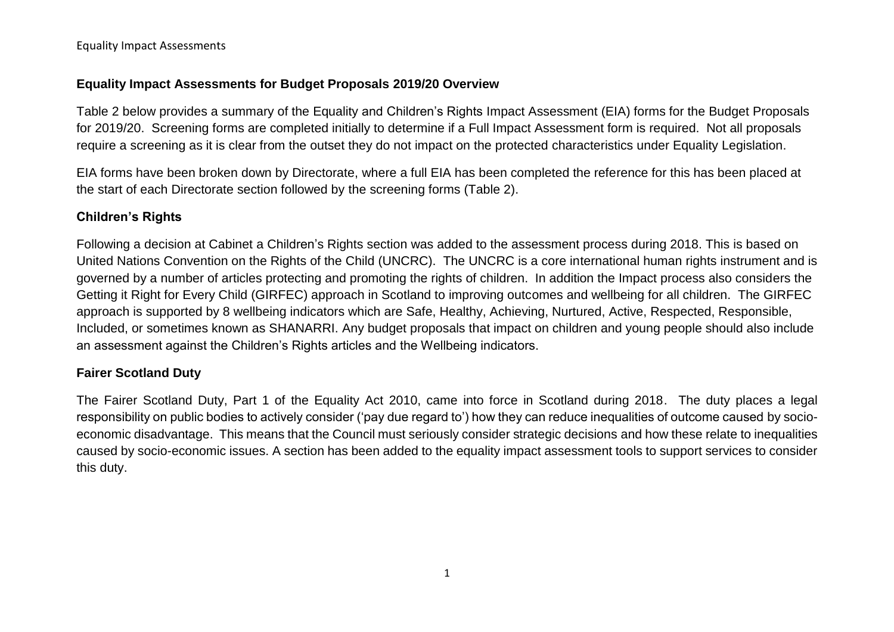## **Equality Impact Assessments for Budget Proposals 2019/20 Overview**

Table 2 below provides a summary of the Equality and Children's Rights Impact Assessment (EIA) forms for the Budget Proposals for 2019/20. Screening forms are completed initially to determine if a Full Impact Assessment form is required. Not all proposals require a screening as it is clear from the outset they do not impact on the protected characteristics under Equality Legislation.

EIA forms have been broken down by Directorate, where a full EIA has been completed the reference for this has been placed at the start of each Directorate section followed by the screening forms (Table 2).

# **Children's Rights**

Following a decision at Cabinet a Children's Rights section was added to the assessment process during 2018. This is based on United Nations Convention on the Rights of the Child (UNCRC). The UNCRC is a core international human rights instrument and is governed by a number of articles protecting and promoting the rights of children. In addition the Impact process also considers the Getting it Right for Every Child (GIRFEC) approach in Scotland to improving outcomes and wellbeing for all children. The GIRFEC approach is supported by 8 wellbeing indicators which are Safe, Healthy, Achieving, Nurtured, Active, Respected, Responsible, Included, or sometimes known as SHANARRI. Any budget proposals that impact on children and young people should also include an assessment against the Children's Rights articles and the Wellbeing indicators.

# **Fairer Scotland Duty**

The Fairer Scotland Duty, Part 1 of the Equality Act 2010, came into force in Scotland during 2018. The duty places a legal responsibility on public bodies to actively consider ('pay due regard to') how they can reduce inequalities of outcome caused by socioeconomic disadvantage. This means that the Council must seriously consider strategic decisions and how these relate to inequalities caused by socio-economic issues. A section has been added to the equality impact assessment tools to support services to consider this duty.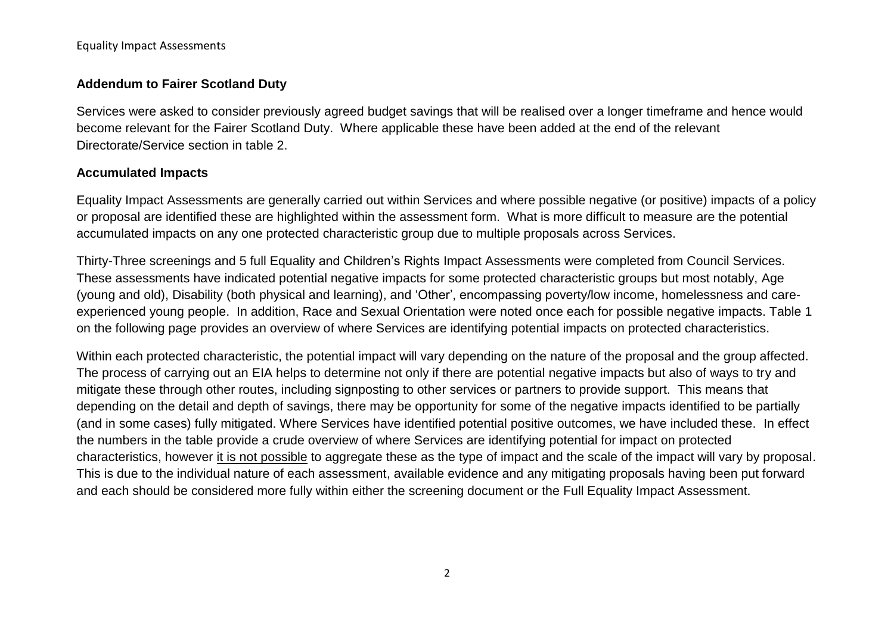## **Addendum to Fairer Scotland Duty**

Services were asked to consider previously agreed budget savings that will be realised over a longer timeframe and hence would become relevant for the Fairer Scotland Duty. Where applicable these have been added at the end of the relevant Directorate/Service section in table 2.

## **Accumulated Impacts**

Equality Impact Assessments are generally carried out within Services and where possible negative (or positive) impacts of a policy or proposal are identified these are highlighted within the assessment form. What is more difficult to measure are the potential accumulated impacts on any one protected characteristic group due to multiple proposals across Services.

Thirty-Three screenings and 5 full Equality and Children's Rights Impact Assessments were completed from Council Services. These assessments have indicated potential negative impacts for some protected characteristic groups but most notably, Age (young and old), Disability (both physical and learning), and 'Other', encompassing poverty/low income, homelessness and careexperienced young people. In addition, Race and Sexual Orientation were noted once each for possible negative impacts. Table 1 on the following page provides an overview of where Services are identifying potential impacts on protected characteristics.

Within each protected characteristic, the potential impact will vary depending on the nature of the proposal and the group affected. The process of carrying out an EIA helps to determine not only if there are potential negative impacts but also of ways to try and mitigate these through other routes, including signposting to other services or partners to provide support. This means that depending on the detail and depth of savings, there may be opportunity for some of the negative impacts identified to be partially (and in some cases) fully mitigated. Where Services have identified potential positive outcomes, we have included these. In effect the numbers in the table provide a crude overview of where Services are identifying potential for impact on protected characteristics, however it is not possible to aggregate these as the type of impact and the scale of the impact will vary by proposal. This is due to the individual nature of each assessment, available evidence and any mitigating proposals having been put forward and each should be considered more fully within either the screening document or the Full Equality Impact Assessment.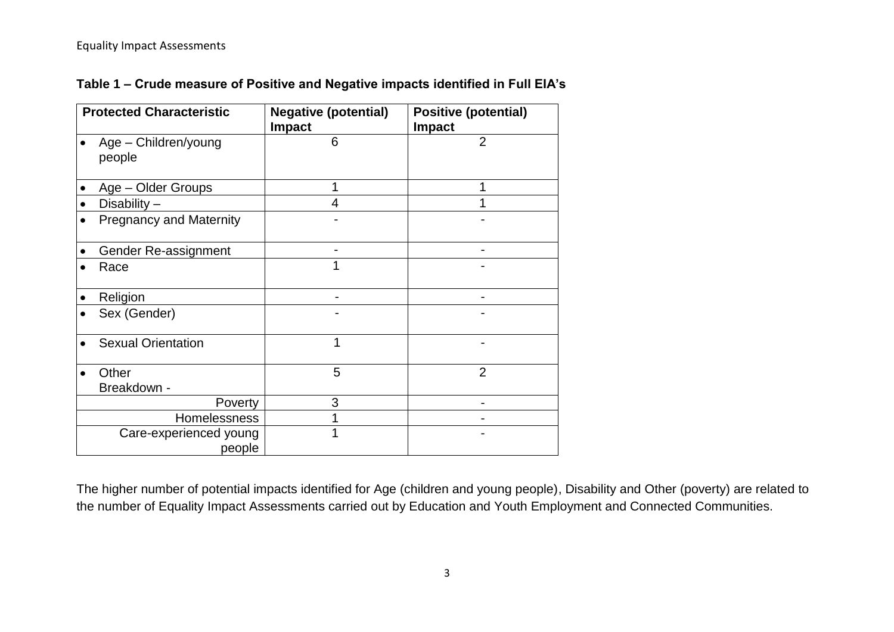**Table 1 – Crude measure of Positive and Negative impacts identified in Full EIA's**

| <b>Protected Characteristic</b>  | <b>Negative (potential)</b><br><b>Impact</b> | <b>Positive (potential)</b><br><b>Impact</b> |
|----------------------------------|----------------------------------------------|----------------------------------------------|
| Age - Children/young<br>people   | 6                                            | $\overline{2}$                               |
| Age - Older Groups               | 1                                            | 1                                            |
| Disability $-$                   | 4                                            |                                              |
| <b>Pregnancy and Maternity</b>   |                                              |                                              |
| Gender Re-assignment             |                                              |                                              |
| Race                             |                                              |                                              |
| Religion                         |                                              |                                              |
| Sex (Gender)                     |                                              |                                              |
| <b>Sexual Orientation</b>        | 1                                            |                                              |
| Other<br>Breakdown -             | 5                                            | $\overline{2}$                               |
| Poverty                          | 3                                            |                                              |
| <b>Homelessness</b>              | 1                                            |                                              |
| Care-experienced young<br>people | 1                                            |                                              |

The higher number of potential impacts identified for Age (children and young people), Disability and Other (poverty) are related to the number of Equality Impact Assessments carried out by Education and Youth Employment and Connected Communities.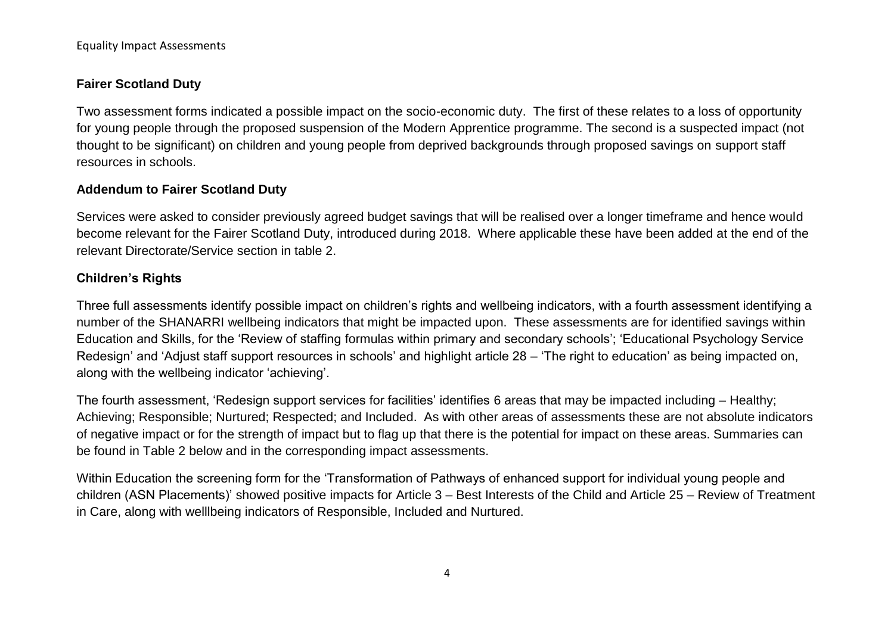# **Fairer Scotland Duty**

Two assessment forms indicated a possible impact on the socio-economic duty. The first of these relates to a loss of opportunity for young people through the proposed suspension of the Modern Apprentice programme. The second is a suspected impact (not thought to be significant) on children and young people from deprived backgrounds through proposed savings on support staff resources in schools.

# **Addendum to Fairer Scotland Duty**

Services were asked to consider previously agreed budget savings that will be realised over a longer timeframe and hence would become relevant for the Fairer Scotland Duty, introduced during 2018. Where applicable these have been added at the end of the relevant Directorate/Service section in table 2.

# **Children's Rights**

Three full assessments identify possible impact on children's rights and wellbeing indicators, with a fourth assessment identifying a number of the SHANARRI wellbeing indicators that might be impacted upon. These assessments are for identified savings within Education and Skills, for the 'Review of staffing formulas within primary and secondary schools'; 'Educational Psychology Service Redesign' and 'Adjust staff support resources in schools' and highlight article 28 – 'The right to education' as being impacted on, along with the wellbeing indicator 'achieving'.

The fourth assessment, 'Redesign support services for facilities' identifies 6 areas that may be impacted including – Healthy; Achieving; Responsible; Nurtured; Respected; and Included. As with other areas of assessments these are not absolute indicators of negative impact or for the strength of impact but to flag up that there is the potential for impact on these areas. Summaries can be found in Table 2 below and in the corresponding impact assessments.

Within Education the screening form for the 'Transformation of Pathways of enhanced support for individual young people and children (ASN Placements)' showed positive impacts for Article 3 – Best Interests of the Child and Article 25 – Review of Treatment in Care, along with welllbeing indicators of Responsible, Included and Nurtured.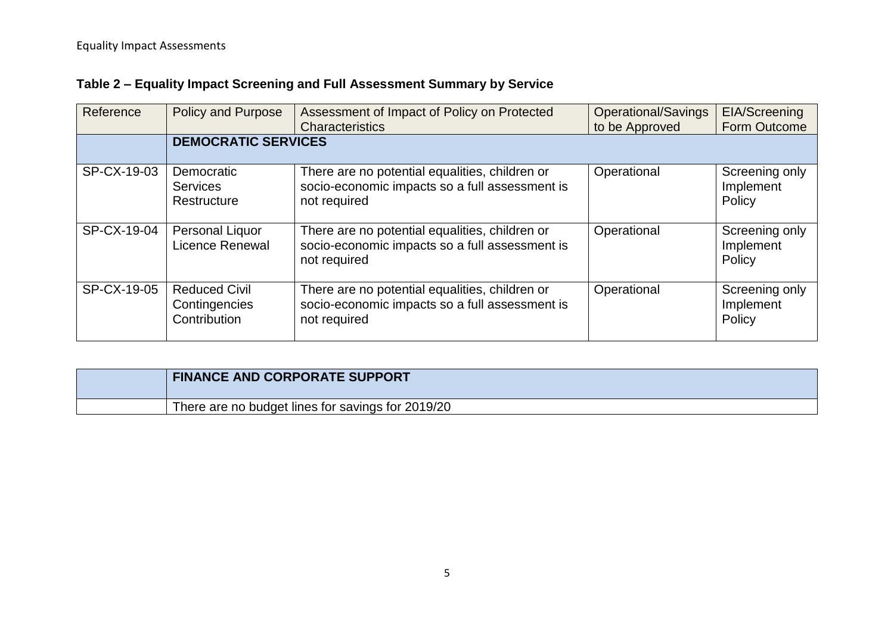# **Table 2 – Equality Impact Screening and Full Assessment Summary by Service**

| Reference   | <b>Policy and Purpose</b>                             | Assessment of Impact of Policy on Protected<br><b>Characteristics</b>                                            | <b>Operational/Savings</b><br>to be Approved | EIA/Screening<br>Form Outcome         |
|-------------|-------------------------------------------------------|------------------------------------------------------------------------------------------------------------------|----------------------------------------------|---------------------------------------|
|             | <b>DEMOCRATIC SERVICES</b>                            |                                                                                                                  |                                              |                                       |
| SP-CX-19-03 | Democratic<br><b>Services</b><br>Restructure          | There are no potential equalities, children or<br>socio-economic impacts so a full assessment is<br>not required | Operational                                  | Screening only<br>Implement<br>Policy |
| SP-CX-19-04 | Personal Liquor<br>Licence Renewal                    | There are no potential equalities, children or<br>socio-economic impacts so a full assessment is<br>not required | Operational                                  | Screening only<br>Implement<br>Policy |
| SP-CX-19-05 | <b>Reduced Civil</b><br>Contingencies<br>Contribution | There are no potential equalities, children or<br>socio-economic impacts so a full assessment is<br>not required | Operational                                  | Screening only<br>Implement<br>Policy |

| <b>FINANCE AND CORPORATE SUPPORT</b>              |
|---------------------------------------------------|
| There are no budget lines for savings for 2019/20 |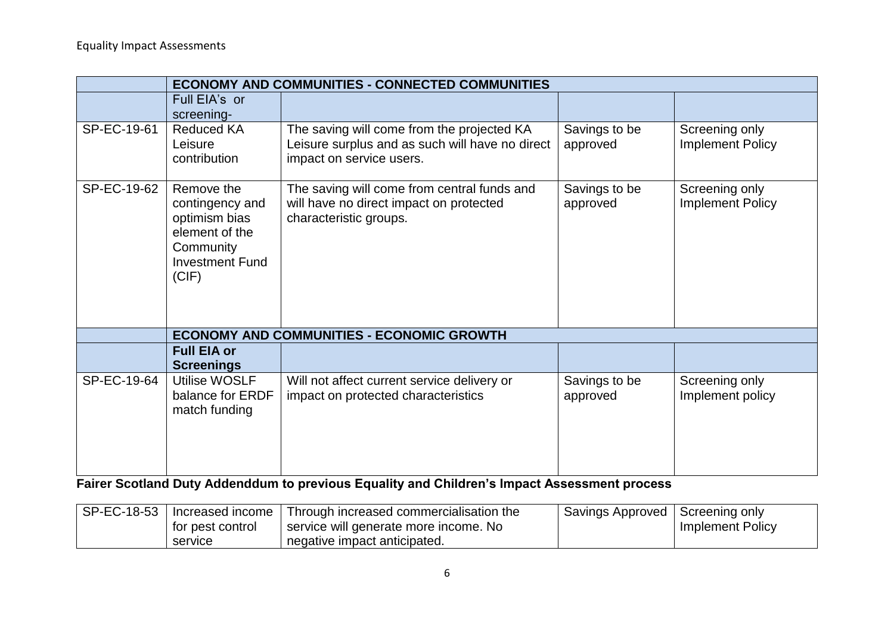|             | <b>ECONOMY AND COMMUNITIES - CONNECTED COMMUNITIES</b>                                                           |                                                                                                                           |                           |                                           |  |  |
|-------------|------------------------------------------------------------------------------------------------------------------|---------------------------------------------------------------------------------------------------------------------------|---------------------------|-------------------------------------------|--|--|
|             | Full EIA's or<br>screening-                                                                                      |                                                                                                                           |                           |                                           |  |  |
| SP-EC-19-61 | <b>Reduced KA</b><br>Leisure<br>contribution                                                                     | The saving will come from the projected KA<br>Leisure surplus and as such will have no direct<br>impact on service users. | Savings to be<br>approved | Screening only<br>Implement Policy        |  |  |
| SP-EC-19-62 | Remove the<br>contingency and<br>optimism bias<br>element of the<br>Community<br><b>Investment Fund</b><br>(CIF) | The saving will come from central funds and<br>will have no direct impact on protected<br>characteristic groups.          | Savings to be<br>approved | Screening only<br><b>Implement Policy</b> |  |  |
|             |                                                                                                                  | <b>ECONOMY AND COMMUNITIES - ECONOMIC GROWTH</b>                                                                          |                           |                                           |  |  |
|             | <b>Full EIA or</b><br><b>Screenings</b>                                                                          |                                                                                                                           |                           |                                           |  |  |
| SP-EC-19-64 | Utilise WOSLF<br>balance for ERDF<br>match funding                                                               | Will not affect current service delivery or<br>impact on protected characteristics                                        | Savings to be<br>approved | Screening only<br>Implement policy        |  |  |

**Fairer Scotland Duty Addenddum to previous Equality and Children's Impact Assessment process**

| ⊢SP-EC-18-53 |                  | I Increased income   Through increased commercialisation the | Savings Approved   Screening only |                         |
|--------------|------------------|--------------------------------------------------------------|-----------------------------------|-------------------------|
|              | for pest control | service will generate more income. No                        |                                   | <b>Implement Policy</b> |
|              | service          | negative impact anticipated.                                 |                                   |                         |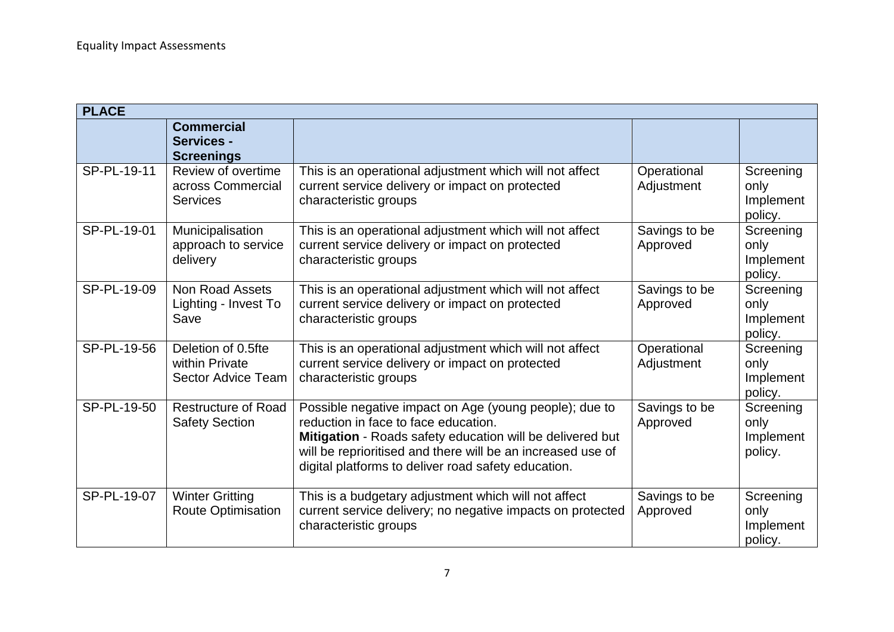| <b>PLACE</b> |                                                             |                                                                                                                                                                                                                                                                                   |                           |                                           |
|--------------|-------------------------------------------------------------|-----------------------------------------------------------------------------------------------------------------------------------------------------------------------------------------------------------------------------------------------------------------------------------|---------------------------|-------------------------------------------|
|              | <b>Commercial</b><br><b>Services -</b><br><b>Screenings</b> |                                                                                                                                                                                                                                                                                   |                           |                                           |
| SP-PL-19-11  | Review of overtime<br>across Commercial<br><b>Services</b>  | This is an operational adjustment which will not affect<br>current service delivery or impact on protected<br>characteristic groups                                                                                                                                               | Operational<br>Adjustment | Screening<br>only<br>Implement<br>policy. |
| SP-PL-19-01  | Municipalisation<br>approach to service<br>delivery         | This is an operational adjustment which will not affect<br>current service delivery or impact on protected<br>characteristic groups                                                                                                                                               | Savings to be<br>Approved | Screening<br>only<br>Implement<br>policy. |
| SP-PL-19-09  | <b>Non Road Assets</b><br>Lighting - Invest To<br>Save      | This is an operational adjustment which will not affect<br>current service delivery or impact on protected<br>characteristic groups                                                                                                                                               | Savings to be<br>Approved | Screening<br>only<br>Implement<br>policy. |
| SP-PL-19-56  | Deletion of 0.5fte<br>within Private<br>Sector Advice Team  | This is an operational adjustment which will not affect<br>current service delivery or impact on protected<br>characteristic groups                                                                                                                                               | Operational<br>Adjustment | Screening<br>only<br>Implement<br>policy. |
| SP-PL-19-50  | Restructure of Road<br><b>Safety Section</b>                | Possible negative impact on Age (young people); due to<br>reduction in face to face education.<br>Mitigation - Roads safety education will be delivered but<br>will be reprioritised and there will be an increased use of<br>digital platforms to deliver road safety education. | Savings to be<br>Approved | Screening<br>only<br>Implement<br>policy. |
| SP-PL-19-07  | <b>Winter Gritting</b><br><b>Route Optimisation</b>         | This is a budgetary adjustment which will not affect<br>current service delivery; no negative impacts on protected<br>characteristic groups                                                                                                                                       | Savings to be<br>Approved | Screening<br>only<br>Implement<br>policy. |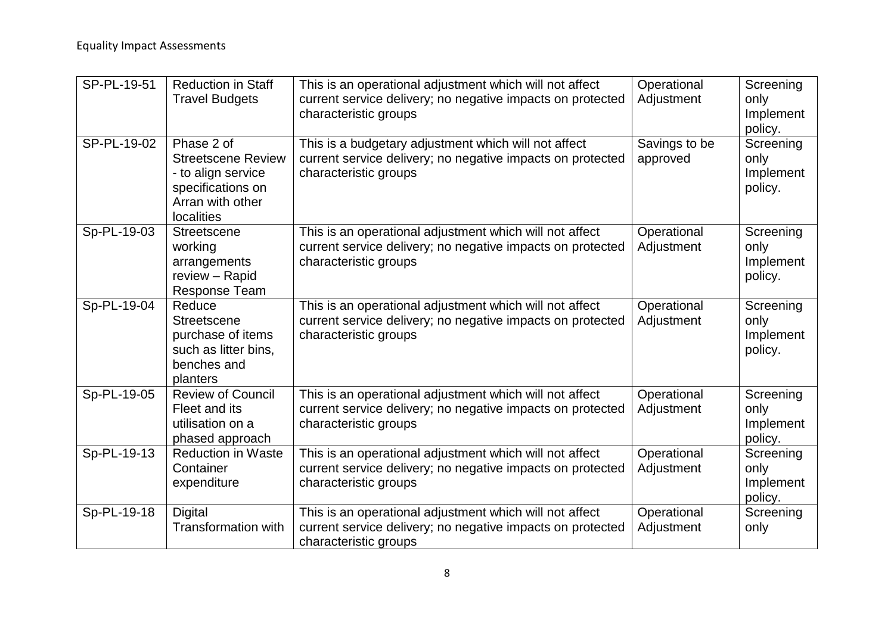| SP-PL-19-51 | <b>Reduction in Staff</b><br><b>Travel Budgets</b>                                                                   | This is an operational adjustment which will not affect<br>current service delivery; no negative impacts on protected<br>characteristic groups | Operational<br>Adjustment | Screening<br>only<br>Implement<br>policy. |
|-------------|----------------------------------------------------------------------------------------------------------------------|------------------------------------------------------------------------------------------------------------------------------------------------|---------------------------|-------------------------------------------|
| SP-PL-19-02 | Phase 2 of<br><b>Streetscene Review</b><br>- to align service<br>specifications on<br>Arran with other<br>localities | This is a budgetary adjustment which will not affect<br>current service delivery; no negative impacts on protected<br>characteristic groups    | Savings to be<br>approved | Screening<br>only<br>Implement<br>policy. |
| Sp-PL-19-03 | <b>Streetscene</b><br>working<br>arrangements<br>review - Rapid<br><b>Response Team</b>                              | This is an operational adjustment which will not affect<br>current service delivery; no negative impacts on protected<br>characteristic groups | Operational<br>Adjustment | Screening<br>only<br>Implement<br>policy. |
| Sp-PL-19-04 | Reduce<br><b>Streetscene</b><br>purchase of items<br>such as litter bins,<br>benches and<br>planters                 | This is an operational adjustment which will not affect<br>current service delivery; no negative impacts on protected<br>characteristic groups | Operational<br>Adjustment | Screening<br>only<br>Implement<br>policy. |
| Sp-PL-19-05 | <b>Review of Council</b><br>Fleet and its<br>utilisation on a<br>phased approach                                     | This is an operational adjustment which will not affect<br>current service delivery; no negative impacts on protected<br>characteristic groups | Operational<br>Adjustment | Screening<br>only<br>Implement<br>policy. |
| Sp-PL-19-13 | <b>Reduction in Waste</b><br>Container<br>expenditure                                                                | This is an operational adjustment which will not affect<br>current service delivery; no negative impacts on protected<br>characteristic groups | Operational<br>Adjustment | Screening<br>only<br>Implement<br>policy. |
| Sp-PL-19-18 | <b>Digital</b><br><b>Transformation with</b>                                                                         | This is an operational adjustment which will not affect<br>current service delivery; no negative impacts on protected<br>characteristic groups | Operational<br>Adjustment | Screening<br>only                         |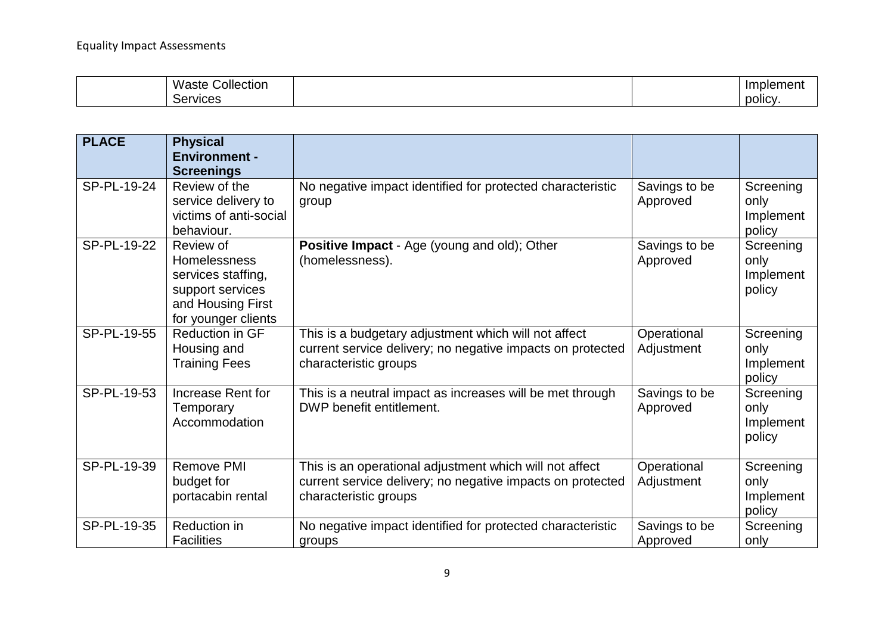| <b>A</b> A <i>I</i><br>ollection;<br>Macto<br>asie<br>. . | <br>nbler<br>œ<br>ווסווני |
|-----------------------------------------------------------|---------------------------|
| :AMICAS                                                   | <br>polic <sup>®</sup>    |

| <b>PLACE</b> | <b>Physical</b><br><b>Environment -</b><br><b>Screenings</b>                                                           |                                                                                                                                                |                           |                                          |
|--------------|------------------------------------------------------------------------------------------------------------------------|------------------------------------------------------------------------------------------------------------------------------------------------|---------------------------|------------------------------------------|
| SP-PL-19-24  | Review of the<br>service delivery to<br>victims of anti-social<br>behaviour.                                           | No negative impact identified for protected characteristic<br>group                                                                            | Savings to be<br>Approved | Screening<br>only<br>Implement<br>policy |
| SP-PL-19-22  | Review of<br><b>Homelessness</b><br>services staffing,<br>support services<br>and Housing First<br>for younger clients | Positive Impact - Age (young and old); Other<br>(homelessness).                                                                                | Savings to be<br>Approved | Screening<br>only<br>Implement<br>policy |
| SP-PL-19-55  | <b>Reduction in GF</b><br>Housing and<br><b>Training Fees</b>                                                          | This is a budgetary adjustment which will not affect<br>current service delivery; no negative impacts on protected<br>characteristic groups    | Operational<br>Adjustment | Screening<br>only<br>Implement<br>policy |
| SP-PL-19-53  | Increase Rent for<br>Temporary<br>Accommodation                                                                        | This is a neutral impact as increases will be met through<br>DWP benefit entitlement.                                                          | Savings to be<br>Approved | Screening<br>only<br>Implement<br>policy |
| SP-PL-19-39  | <b>Remove PMI</b><br>budget for<br>portacabin rental                                                                   | This is an operational adjustment which will not affect<br>current service delivery; no negative impacts on protected<br>characteristic groups | Operational<br>Adjustment | Screening<br>only<br>Implement<br>policy |
| SP-PL-19-35  | Reduction in<br><b>Facilities</b>                                                                                      | No negative impact identified for protected characteristic<br>groups                                                                           | Savings to be<br>Approved | Screening<br>only                        |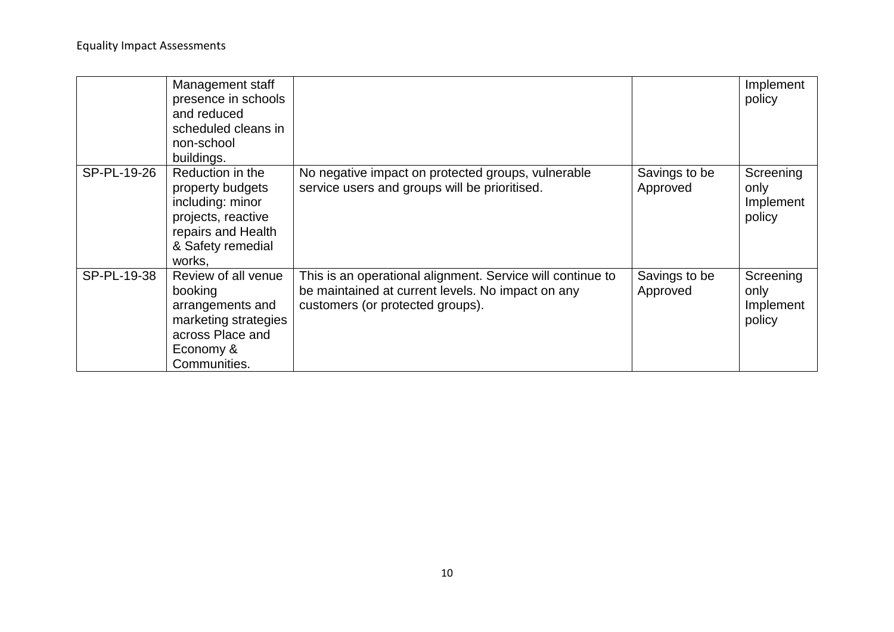|             | Management staff<br>presence in schools<br>and reduced<br>scheduled cleans in<br>non-school<br>buildings.                           |                                                                                                                                                     |                           | Implement<br>policy                      |
|-------------|-------------------------------------------------------------------------------------------------------------------------------------|-----------------------------------------------------------------------------------------------------------------------------------------------------|---------------------------|------------------------------------------|
| SP-PL-19-26 | Reduction in the<br>property budgets<br>including: minor<br>projects, reactive<br>repairs and Health<br>& Safety remedial<br>works, | No negative impact on protected groups, vulnerable<br>service users and groups will be prioritised.                                                 | Savings to be<br>Approved | Screening<br>only<br>Implement<br>policy |
| SP-PL-19-38 | Review of all venue<br>booking<br>arrangements and<br>marketing strategies<br>across Place and<br>Economy &<br>Communities.         | This is an operational alignment. Service will continue to<br>be maintained at current levels. No impact on any<br>customers (or protected groups). | Savings to be<br>Approved | Screening<br>only<br>Implement<br>policy |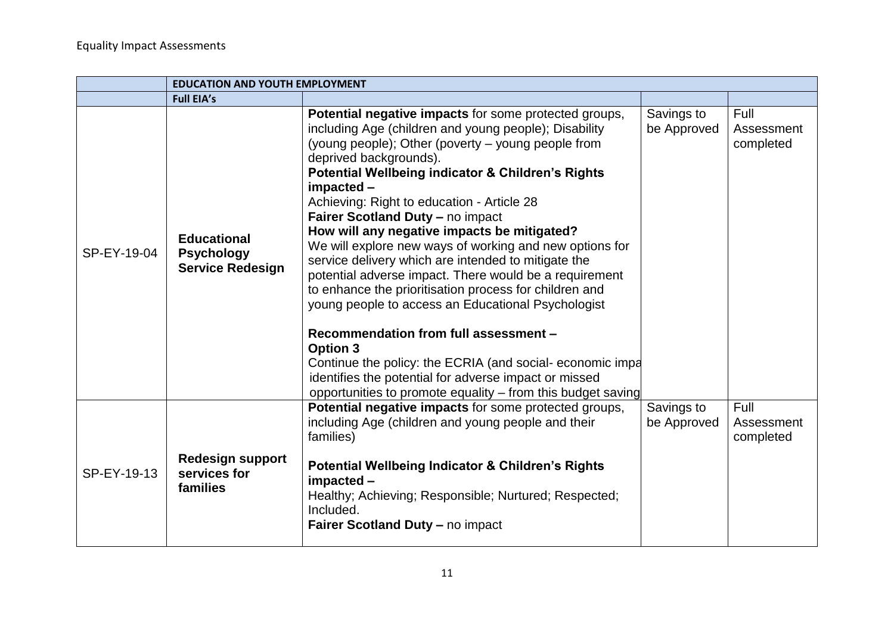|             | <b>EDUCATION AND YOUTH EMPLOYMENT</b>                              |                                                                                                                                                                                                                                                                                                                                                                                                                                                                                                                                                                                                                                                                                                                                                                                                                                                                                                                                                           |                           |                                 |  |
|-------------|--------------------------------------------------------------------|-----------------------------------------------------------------------------------------------------------------------------------------------------------------------------------------------------------------------------------------------------------------------------------------------------------------------------------------------------------------------------------------------------------------------------------------------------------------------------------------------------------------------------------------------------------------------------------------------------------------------------------------------------------------------------------------------------------------------------------------------------------------------------------------------------------------------------------------------------------------------------------------------------------------------------------------------------------|---------------------------|---------------------------------|--|
|             | <b>Full EIA's</b>                                                  |                                                                                                                                                                                                                                                                                                                                                                                                                                                                                                                                                                                                                                                                                                                                                                                                                                                                                                                                                           |                           |                                 |  |
| SP-EY-19-04 | <b>Educational</b><br><b>Psychology</b><br><b>Service Redesign</b> | Potential negative impacts for some protected groups,<br>including Age (children and young people); Disability<br>(young people); Other (poverty – young people from<br>deprived backgrounds).<br><b>Potential Wellbeing indicator &amp; Children's Rights</b><br>impacted -<br>Achieving: Right to education - Article 28<br>Fairer Scotland Duty - no impact<br>How will any negative impacts be mitigated?<br>We will explore new ways of working and new options for<br>service delivery which are intended to mitigate the<br>potential adverse impact. There would be a requirement<br>to enhance the prioritisation process for children and<br>young people to access an Educational Psychologist<br>Recommendation from full assessment -<br><b>Option 3</b><br>Continue the policy: the ECRIA (and social-economic impa<br>identifies the potential for adverse impact or missed<br>opportunities to promote equality – from this budget saving | Savings to<br>be Approved | Full<br>Assessment<br>completed |  |
| SP-EY-19-13 | <b>Redesign support</b><br>services for<br>families                | Potential negative impacts for some protected groups,<br>including Age (children and young people and their<br>families)<br><b>Potential Wellbeing Indicator &amp; Children's Rights</b><br>impacted -<br>Healthy; Achieving; Responsible; Nurtured; Respected;<br>Included.<br><b>Fairer Scotland Duty - no impact</b>                                                                                                                                                                                                                                                                                                                                                                                                                                                                                                                                                                                                                                   | Savings to<br>be Approved | Full<br>Assessment<br>completed |  |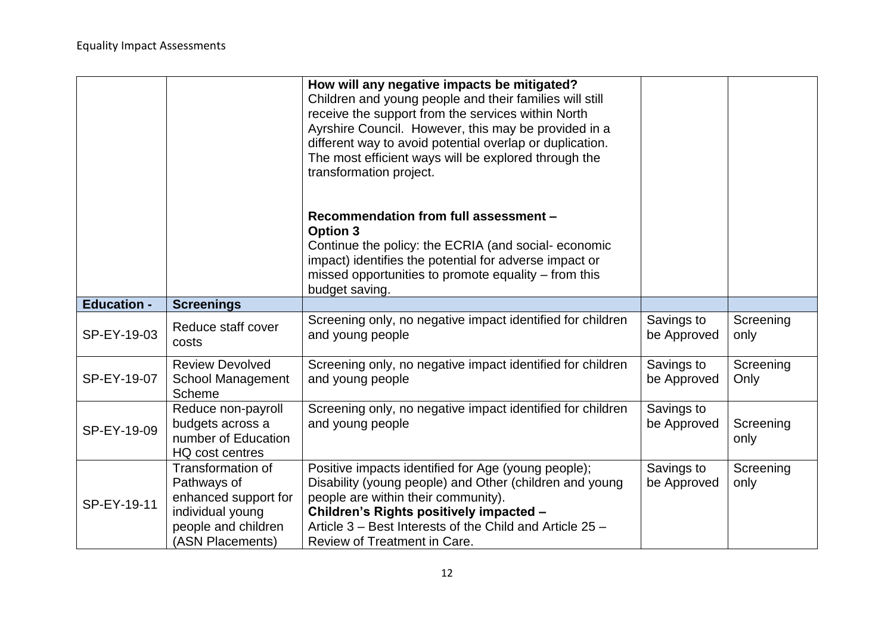|                    |                                                                                                                         | How will any negative impacts be mitigated?<br>Children and young people and their families will still<br>receive the support from the services within North<br>Ayrshire Council. However, this may be provided in a<br>different way to avoid potential overlap or duplication.<br>The most efficient ways will be explored through the<br>transformation project. |                           |                   |
|--------------------|-------------------------------------------------------------------------------------------------------------------------|---------------------------------------------------------------------------------------------------------------------------------------------------------------------------------------------------------------------------------------------------------------------------------------------------------------------------------------------------------------------|---------------------------|-------------------|
|                    |                                                                                                                         | Recommendation from full assessment -<br><b>Option 3</b><br>Continue the policy: the ECRIA (and social-economic<br>impact) identifies the potential for adverse impact or<br>missed opportunities to promote equality – from this<br>budget saving.                                                                                                                 |                           |                   |
| <b>Education -</b> | <b>Screenings</b>                                                                                                       |                                                                                                                                                                                                                                                                                                                                                                     |                           |                   |
| SP-EY-19-03        | Reduce staff cover<br>costs                                                                                             | Screening only, no negative impact identified for children<br>and young people                                                                                                                                                                                                                                                                                      | Savings to<br>be Approved | Screening<br>only |
| SP-EY-19-07        | <b>Review Devolved</b><br><b>School Management</b><br>Scheme                                                            | Screening only, no negative impact identified for children<br>and young people                                                                                                                                                                                                                                                                                      | Savings to<br>be Approved | Screening<br>Only |
| SP-EY-19-09        | Reduce non-payroll<br>budgets across a<br>number of Education<br>HQ cost centres                                        | Screening only, no negative impact identified for children<br>and young people                                                                                                                                                                                                                                                                                      | Savings to<br>be Approved | Screening<br>only |
| SP-EY-19-11        | Transformation of<br>Pathways of<br>enhanced support for<br>individual young<br>people and children<br>(ASN Placements) | Positive impacts identified for Age (young people);<br>Disability (young people) and Other (children and young<br>people are within their community).<br>Children's Rights positively impacted -<br>Article 3 - Best Interests of the Child and Article 25 -<br>Review of Treatment in Care.                                                                        | Savings to<br>be Approved | Screening<br>only |